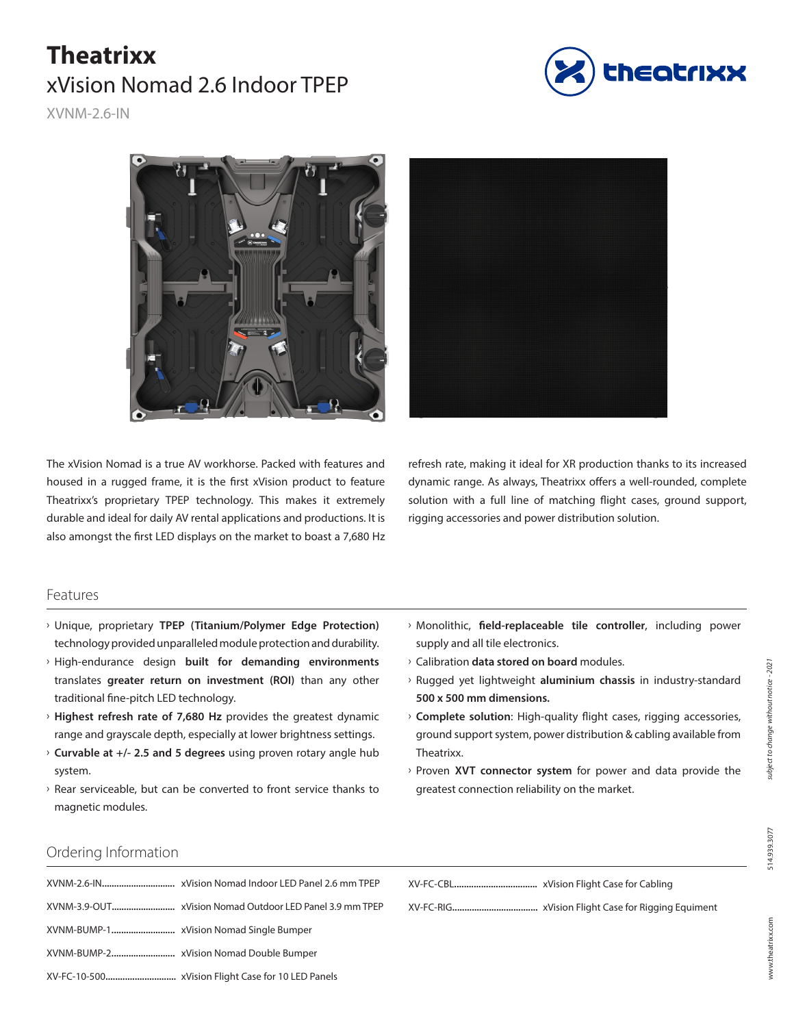# **Theatrixx**  xVision Nomad 2.6 Indoor TPEP



XVNM-2.6-IN



The xVision Nomad is a true AV workhorse. Packed with features and housed in a rugged frame, it is the first xVision product to feature Theatrixx's proprietary TPEP technology. This makes it extremely durable and ideal for daily AV rental applications and productions. It is also amongst the first LED displays on the market to boast a 7,680 Hz

refresh rate, making it ideal for XR production thanks to its increased dynamic range. As always, Theatrixx offers a well-rounded, complete solution with a full line of matching flight cases, ground support, rigging accessories and power distribution solution.

#### Features

- **Viliciana Edge** Proprietary **TPEP** (Titanium/Polymer Edge Protection) technology provided unparalleled module protection and durability.
- > High-endurance design **built for demanding environments** translates **greater return on investment (ROI)** than any other traditional fine-pitch LED technology.
- > Highest refresh rate of 7,680 Hz provides the greatest dynamic range and grayscale depth, especially at lower brightness settings.
- Ű **Curvable at +/- 2.5 and 5 degrees** using proven rotary angle hub system.
- $\rightarrow$  Rear serviceable, but can be converted to front service thanks to magnetic modules.
- Ű Monolithic, **field-replaceable tile controller**, including power supply and all tile electronics.
- $\rightarrow$  Calibration **data stored on board** modules.
- Ű Rugged yet lightweight **aluminium chassis** in industry-standard **500 x 500 mm dimensions.**
- **Complete solution**: High-quality flight cases, rigging accessories, ground support system, power distribution & cabling available from Theatrixx.
- **Proven XVT connector system** for power and data provide the greatest connection reliability on the market.

#### Ordering Information

514.939.3077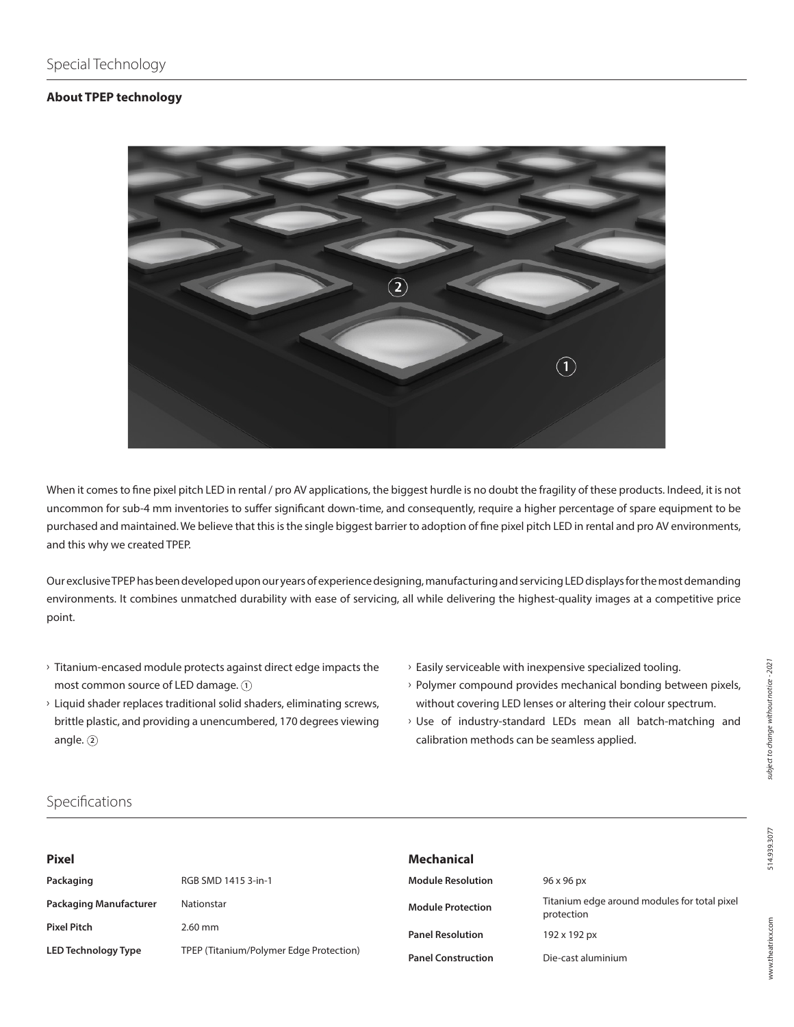#### **About TPEP technology**



When it comes to fine pixel pitch LED in rental / pro AV applications, the biggest hurdle is no doubt the fragility of these products. Indeed, it is not uncommon for sub-4 mm inventories to suffer significant down-time, and consequently, require a higher percentage of spare equipment to be purchased and maintained. We believe that this is the single biggest barrier to adoption of fine pixel pitch LED in rental and pro AV environments, and this why we created TPEP.

Our exclusive TPEP has been developed upon our years of experience designing, manufacturing and servicing LED displays for the most demanding environments. It combines unmatched durability with ease of servicing, all while delivering the highest-quality images at a competitive price point.

- $\rightarrow$  Titanium-encased module protects against direct edge impacts the most common source of LED damage. **1**
- $\rightarrow$  Liquid shader replaces traditional solid shaders, eliminating screws, brittle plastic, and providing a unencumbered, 170 degrees viewing angle. **2**
- $\rightarrow$  Easily serviceable with inexpensive specialized tooling.
- $\rightarrow$  Polymer compound provides mechanical bonding between pixels, without covering LED lenses or altering their colour spectrum.
- > Use of industry-standard LEDs mean all batch-matching and calibration methods can be seamless applied.

## Specifications

| <b>Pixel</b>                  |                                         | Mechanical                |                                                            |
|-------------------------------|-----------------------------------------|---------------------------|------------------------------------------------------------|
| Packaging                     | RGB SMD 1415 3-in-1                     | <b>Module Resolution</b>  | 96 x 96 px                                                 |
| <b>Packaging Manufacturer</b> | Nationstar                              | <b>Module Protection</b>  | Titanium edge around modules for total pixel<br>protection |
| <b>Pixel Pitch</b>            | $2.60$ mm                               | <b>Panel Resolution</b>   | 192 x 192 px                                               |
| <b>LED Technology Type</b>    | TPEP (Titanium/Polymer Edge Protection) | <b>Panel Construction</b> | Die-cast aluminium                                         |